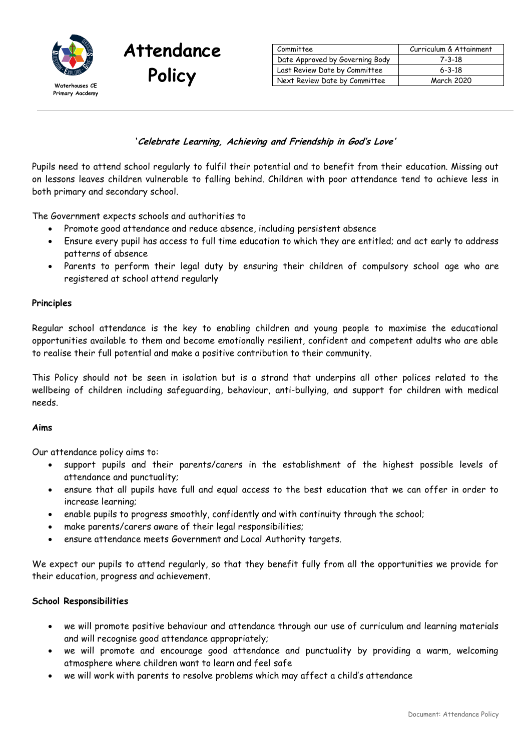

| Committee                       | Curriculum & Attainment |
|---------------------------------|-------------------------|
| Date Approved by Governing Body | $7 - 3 - 18$            |
| Last Review Date by Committee   | $6 - 3 - 18$            |
| Next Review Date by Committee   | March 2020              |

### **'Celebrate Learning, Achieving and Friendship in God's Love'**

Pupils need to attend school regularly to fulfil their potential and to benefit from their education. Missing out on lessons leaves children vulnerable to falling behind. Children with poor attendance tend to achieve less in both primary and secondary school.

The Government expects schools and authorities to

**Attendance**

- Promote good attendance and reduce absence, including persistent absence
- Ensure every pupil has access to full time education to which they are entitled; and act early to address patterns of absence
- Parents to perform their legal duty by ensuring their children of compulsory school age who are registered at school attend regularly

### **Principles**

Regular school attendance is the key to enabling children and young people to maximise the educational opportunities available to them and become emotionally resilient, confident and competent adults who are able to realise their full potential and make a positive contribution to their community.

This Policy should not be seen in isolation but is a strand that underpins all other polices related to the wellbeing of children including safeguarding, behaviour, anti-bullying, and support for children with medical needs.

### **Aims**

Our attendance policy aims to:

- support pupils and their parents/carers in the establishment of the highest possible levels of attendance and punctuality;
- ensure that all pupils have full and equal access to the best education that we can offer in order to increase learning;
- enable pupils to progress smoothly, confidently and with continuity through the school;
- make parents/carers aware of their legal responsibilities;
- ensure attendance meets Government and Local Authority targets.

We expect our pupils to attend regularly, so that they benefit fully from all the opportunities we provide for their education, progress and achievement.

### **School Responsibilities**

- we will promote positive behaviour and attendance through our use of curriculum and learning materials and will recognise good attendance appropriately;
- we will promote and encourage good attendance and punctuality by providing a warm, welcoming atmosphere where children want to learn and feel safe
- we will work with parents to resolve problems which may affect a child's attendance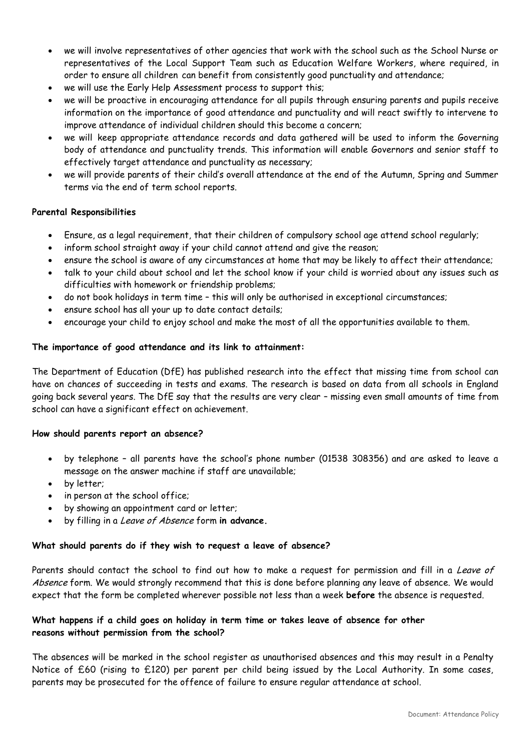- we will involve representatives of other agencies that work with the school such as the School Nurse or representatives of the Local Support Team such as Education Welfare Workers, where required, in order to ensure all children can benefit from consistently good punctuality and attendance;
- we will use the Early Help Assessment process to support this;
- we will be proactive in encouraging attendance for all pupils through ensuring parents and pupils receive information on the importance of good attendance and punctuality and will react swiftly to intervene to improve attendance of individual children should this become a concern;
- we will keep appropriate attendance records and data gathered will be used to inform the Governing body of attendance and punctuality trends. This information will enable Governors and senior staff to effectively target attendance and punctuality as necessary;
- we will provide parents of their child's overall attendance at the end of the Autumn, Spring and Summer terms via the end of term school reports.

# **Parental Responsibilities**

- Ensure, as a legal requirement, that their children of compulsory school age attend school regularly;
- inform school straight away if your child cannot attend and give the reason;
- ensure the school is aware of any circumstances at home that may be likely to affect their attendance;
- talk to your child about school and let the school know if your child is worried about any issues such as difficulties with homework or friendship problems;
- do not book holidays in term time this will only be authorised in exceptional circumstances;
- ensure school has all your up to date contact details;
- encourage your child to enjoy school and make the most of all the opportunities available to them.

### **The importance of good attendance and its link to attainment:**

The Department of Education (DfE) has published research into the effect that missing time from school can have on chances of succeeding in tests and exams. The research is based on data from all schools in England going back several years. The DfE say that the results are very clear – missing even small amounts of time from school can have a significant effect on achievement.

### **How should parents report an absence?**

- by telephone all parents have the school's phone number (01538 308356) and are asked to leave a message on the answer machine if staff are unavailable;
- by letter;
- in person at the school office;
- by showing an appointment card or letter;
- by filling in a Leave of Absence form **in advance.**

### **What should parents do if they wish to request a leave of absence?**

Parents should contact the school to find out how to make a request for permission and fill in a Leave of Absence form. We would strongly recommend that this is done before planning any leave of absence. We would expect that the form be completed wherever possible not less than a week **before** the absence is requested.

# **What happens if a child goes on holiday in term time or takes leave of absence for other reasons without permission from the school?**

The absences will be marked in the school register as unauthorised absences and this may result in a Penalty Notice of £60 (rising to £120) per parent per child being issued by the Local Authority. In some cases, parents may be prosecuted for the offence of failure to ensure regular attendance at school.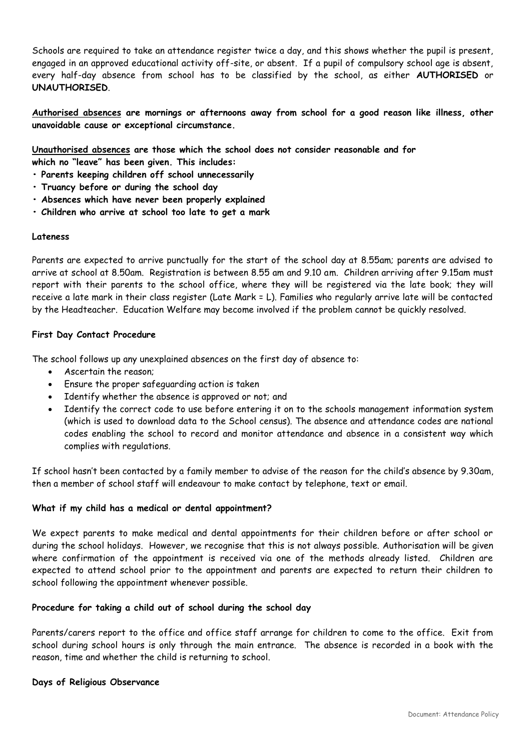Schools are required to take an attendance register twice a day, and this shows whether the pupil is present, engaged in an approved educational activity off-site, or absent. If a pupil of compulsory school age is absent, every half-day absence from school has to be classified by the school, as either **AUTHORISED** or **UNAUTHORISED**.

**Authorised absences are mornings or afternoons away from school for a good reason like illness, other unavoidable cause or exceptional circumstance.**

**Unauthorised absences are those which the school does not consider reasonable and for**

**which no "leave" has been given. This includes:**

- **Parents keeping children off school unnecessarily**
- **Truancy before or during the school day**
- **Absences which have never been properly explained**
- **Children who arrive at school too late to get a mark**

#### **Lateness**

Parents are expected to arrive punctually for the start of the school day at 8.55am; parents are advised to arrive at school at 8.50am. Registration is between 8.55 am and 9.10 am. Children arriving after 9.15am must report with their parents to the school office, where they will be registered via the late book; they will receive a late mark in their class register (Late Mark = L). Families who regularly arrive late will be contacted by the Headteacher. Education Welfare may become involved if the problem cannot be quickly resolved.

### **First Day Contact Procedure**

The school follows up any unexplained absences on the first day of absence to:

- Ascertain the reason;
- Ensure the proper safeguarding action is taken
- Identify whether the absence is approved or not; and
- Identify the correct code to use before entering it on to the schools management information system (which is used to download data to the School census). The absence and attendance codes are national codes enabling the school to record and monitor attendance and absence in a consistent way which complies with regulations.

If school hasn't been contacted by a family member to advise of the reason for the child's absence by 9.30am, then a member of school staff will endeavour to make contact by telephone, text or email.

### **What if my child has a medical or dental appointment?**

We expect parents to make medical and dental appointments for their children before or after school or during the school holidays. However, we recognise that this is not always possible. Authorisation will be given where confirmation of the appointment is received via one of the methods already listed. Children are expected to attend school prior to the appointment and parents are expected to return their children to school following the appointment whenever possible.

### **Procedure for taking a child out of school during the school day**

Parents/carers report to the office and office staff arrange for children to come to the office. Exit from school during school hours is only through the main entrance. The absence is recorded in a book with the reason, time and whether the child is returning to school.

#### **Days of Religious Observance**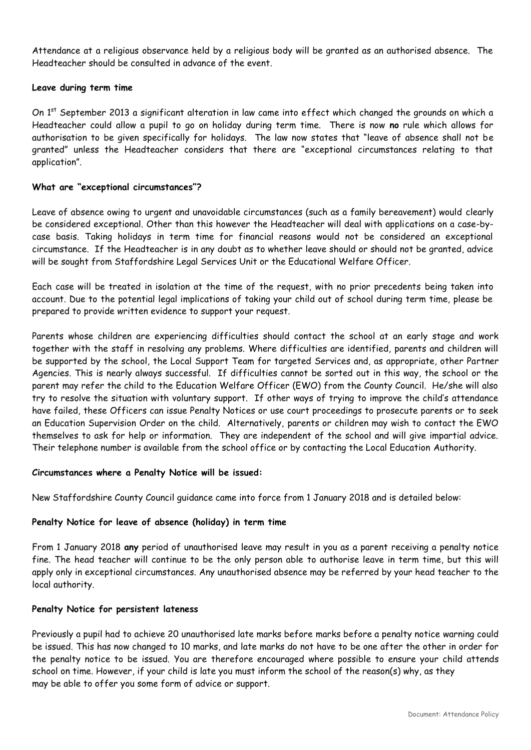Attendance at a religious observance held by a religious body will be granted as an authorised absence. The Headteacher should be consulted in advance of the event.

### **Leave during term time**

On 1<sup>st</sup> September 2013 a significant alteration in law came into effect which changed the grounds on which a Headteacher could allow a pupil to go on holiday during term time. There is now **no** rule which allows for authorisation to be given specifically for holidays. The law now states that "leave of absence shall not be granted" unless the Headteacher considers that there are "exceptional circumstances relating to that application".

### **What are "exceptional circumstances"?**

Leave of absence owing to urgent and unavoidable circumstances (such as a family bereavement) would clearly be considered exceptional. Other than this however the Headteacher will deal with applications on a case-bycase basis. Taking holidays in term time for financial reasons would not be considered an exceptional circumstance. If the Headteacher is in any doubt as to whether leave should or should not be granted, advice will be sought from Staffordshire Legal Services Unit or the Educational Welfare Officer.

Each case will be treated in isolation at the time of the request, with no prior precedents being taken into account. Due to the potential legal implications of taking your child out of school during term time, please be prepared to provide written evidence to support your request.

Parents whose children are experiencing difficulties should contact the school at an early stage and work together with the staff in resolving any problems. Where difficulties are identified, parents and children will be supported by the school, the Local Support Team for targeted Services and, as appropriate, other Partner Agencies. This is nearly always successful. If difficulties cannot be sorted out in this way, the school or the parent may refer the child to the Education Welfare Officer (EWO) from the County Council. He/she will also try to resolve the situation with voluntary support. If other ways of trying to improve the child's attendance have failed, these Officers can issue Penalty Notices or use court proceedings to prosecute parents or to seek an Education Supervision Order on the child. Alternatively, parents or children may wish to contact the EWO themselves to ask for help or information. They are independent of the school and will give impartial advice. Their telephone number is available from the school office or by contacting the Local Education Authority.

### **Circumstances where a Penalty Notice will be issued:**

New Staffordshire County Council guidance came into force from 1 January 2018 and is detailed below:

# **Penalty Notice for leave of absence (holiday) in term time**

From 1 January 2018 **any** period of unauthorised leave may result in you as a parent receiving a penalty notice fine. The head teacher will continue to be the only person able to authorise leave in term time, but this will apply only in exceptional circumstances. Any unauthorised absence may be referred by your head teacher to the local authority.

# **Penalty Notice for persistent lateness**

Previously a pupil had to achieve 20 unauthorised late marks before marks before a penalty notice warning could be issued. This has now changed to 10 marks, and late marks do not have to be one after the other in order for the penalty notice to be issued. You are therefore encouraged where possible to ensure your child attends school on time. However, if your child is late you must inform the school of the reason(s) why, as they may be able to offer you some form of advice or support.